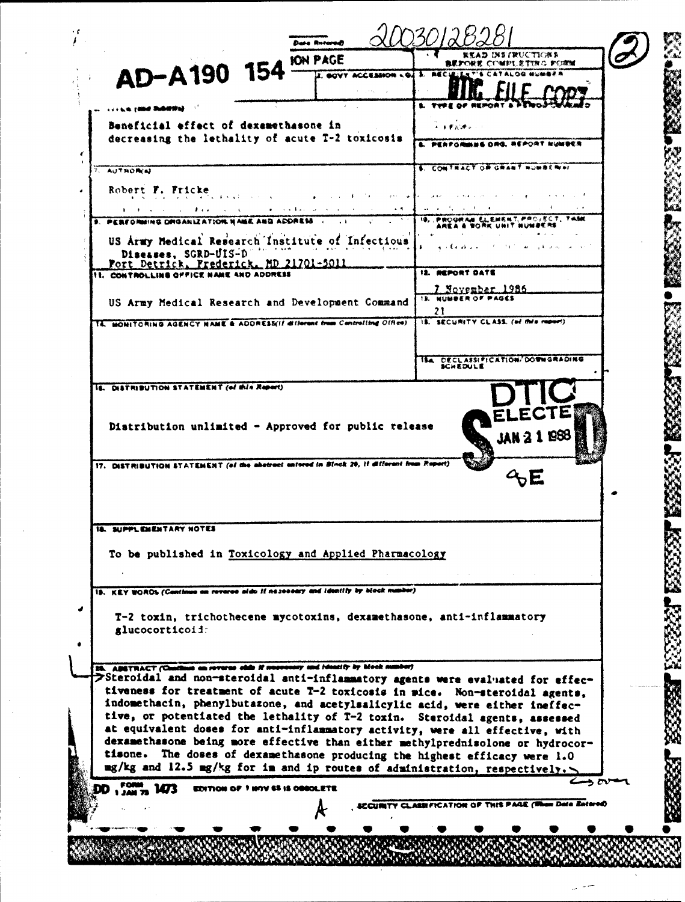| <b>JON PAGE</b>                                                                                                                                                                                                                                                                                                                                        | <b><i>READ INSTRUCTIONS</i></b><br><b>COMPLETING FORM</b><br>医麦罗特效果 |  |
|--------------------------------------------------------------------------------------------------------------------------------------------------------------------------------------------------------------------------------------------------------------------------------------------------------------------------------------------------------|---------------------------------------------------------------------|--|
| AD-A190 154<br>U. GOVY ACCESSION LOJ 3. REC.                                                                                                                                                                                                                                                                                                           |                                                                     |  |
| <sub>・・・ト</sub> ェ rand Subdistal                                                                                                                                                                                                                                                                                                                       |                                                                     |  |
| Beneficial effect of dexamethasone in                                                                                                                                                                                                                                                                                                                  | 医重氮 建立一个                                                            |  |
| decreasing the lethality of acute T-2 toxicosis                                                                                                                                                                                                                                                                                                        | PERFORMES ORG. REPORT NUMBER                                        |  |
|                                                                                                                                                                                                                                                                                                                                                        |                                                                     |  |
| 7. AUTHORIA                                                                                                                                                                                                                                                                                                                                            | 6. COMTRACT OR GRANT NUMBER 41                                      |  |
| Robert F. Fricke<br>2.5<1.46<br>and the state of the state of                                                                                                                                                                                                                                                                                          |                                                                     |  |
| a consideration of the construction of the<br>$\sim$ 5.<br><b>The Contract Constitution of the Constitution Constitution</b><br>9. PERFORMING DRGANIZATION NAMA ANG ADDRESS                                                                                                                                                                            | 10、 萨斯公众的人员 老儿老姑老妹笔 严严令小老女子,于他朝廷                                    |  |
| US Army Medical Research Institute of Infectious                                                                                                                                                                                                                                                                                                       |                                                                     |  |
| the company of the company of the season of the season of the season of the season of the season of the season<br>Diseases, SGRD-UIS-D                                                                                                                                                                                                                 | متقطعه                                                              |  |
| Fort Detrick, Prederick, MD 21701-5011<br><b>II. CONTROLLING OFFICE NAME AND ADDRESS</b>                                                                                                                                                                                                                                                               | 12. REPORT DATE                                                     |  |
|                                                                                                                                                                                                                                                                                                                                                        | <u>7 November 1986</u><br>13. NUMBER OF PAGES                       |  |
| US Army Medical Research and Development Command                                                                                                                                                                                                                                                                                                       | 21                                                                  |  |
| 14. MONITORING AGENCY HAME & ADDRESS(If different from Controlling Office)                                                                                                                                                                                                                                                                             | IS. SECURITY CLASS. (of this report)                                |  |
|                                                                                                                                                                                                                                                                                                                                                        |                                                                     |  |
|                                                                                                                                                                                                                                                                                                                                                        | <b>ISA DECLASSIFICATION/DOWNGRADING</b><br>KCHEDULE                 |  |
| IS. DISTRIBUTION STATEMENT (of this Report)                                                                                                                                                                                                                                                                                                            |                                                                     |  |
|                                                                                                                                                                                                                                                                                                                                                        |                                                                     |  |
|                                                                                                                                                                                                                                                                                                                                                        |                                                                     |  |
| Distribution unlimited - Approved for public release                                                                                                                                                                                                                                                                                                   |                                                                     |  |
|                                                                                                                                                                                                                                                                                                                                                        |                                                                     |  |
| 17. DISTRIBUTION STATEMENT (of the abstract entered in Block 20, if different from Report)                                                                                                                                                                                                                                                             |                                                                     |  |
|                                                                                                                                                                                                                                                                                                                                                        |                                                                     |  |
|                                                                                                                                                                                                                                                                                                                                                        |                                                                     |  |
|                                                                                                                                                                                                                                                                                                                                                        |                                                                     |  |
| <b>18. SUPPLEMENTARY NOTES</b>                                                                                                                                                                                                                                                                                                                         |                                                                     |  |
| To be published in Toxicology and Applied Pharmacology                                                                                                                                                                                                                                                                                                 |                                                                     |  |
|                                                                                                                                                                                                                                                                                                                                                        |                                                                     |  |
| 19. KEY WORDS (Continue on reverse aids if no see eary and identify by block manber)                                                                                                                                                                                                                                                                   |                                                                     |  |
| T-2 toxin, trichothecene mycotoxins, dexamethasone, anti-inflammatory                                                                                                                                                                                                                                                                                  |                                                                     |  |
| glucocorticoid:                                                                                                                                                                                                                                                                                                                                        |                                                                     |  |
|                                                                                                                                                                                                                                                                                                                                                        |                                                                     |  |
| 25. ADSTRACT (Continue on reverse olds if necessary and identity by block number)<br>>Steroidal and non-steroidal anti-inflammatory agents were evaluated for effec-                                                                                                                                                                                   |                                                                     |  |
| tiveness for treatment of acute T-2 toxicosis in mice. Non-steroidal agents,                                                                                                                                                                                                                                                                           |                                                                     |  |
| indomethacin, phenylbutazone, and acetylsalicylic acid, were either ineffec-<br>tive, or potentiated the lethality of T-2 toxin. Steroidal agents, assessed                                                                                                                                                                                            |                                                                     |  |
| at equivalent doses for anti-inflammatory activity, were all effective, with                                                                                                                                                                                                                                                                           |                                                                     |  |
| dexamethasone being more effective than either methylprednisolone or hydrocor-<br>tisone. The doses of dexamethasone producing the highest efficacy were 1.0                                                                                                                                                                                           |                                                                     |  |
| mg/kg and 12.5 mg/kg for in and ip routes of administration, respectively.                                                                                                                                                                                                                                                                             |                                                                     |  |
| $\frac{1}{2}$ $\frac{1}{2}$ $\frac{1}{2}$ $\frac{1}{2}$ $\frac{1}{2}$ $\frac{1}{2}$ $\frac{1}{2}$ $\frac{1}{2}$ $\frac{1}{2}$ $\frac{1}{2}$ $\frac{1}{2}$ $\frac{1}{2}$ $\frac{1}{2}$ $\frac{1}{2}$ $\frac{1}{2}$ $\frac{1}{2}$ $\frac{1}{2}$ $\frac{1}{2}$ $\frac{1}{2}$ $\frac{1}{2}$ $\frac{1}{2}$ $\frac{1}{2}$<br>EDITION OF 7 HOV 65 IS OBSOLETE |                                                                     |  |
|                                                                                                                                                                                                                                                                                                                                                        | SCOURITY CLASSFICATION OF THIS PAGE (When Date Entered)             |  |
|                                                                                                                                                                                                                                                                                                                                                        |                                                                     |  |

 $\frac{1}{2}$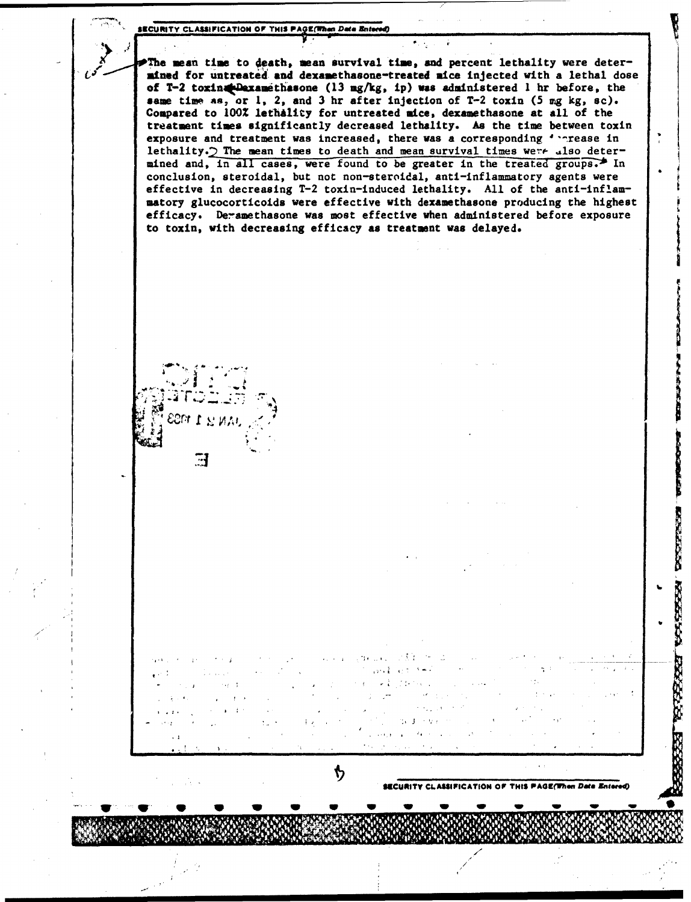2 The mean time to 4eath, **mean** survival time, *and* percent lethality were deter mined for untreated and dexamethasone-treated mice injected with a lethal dose of T-2 toxin plaxamethasone (13 mg/kg, ip) was administered 1 hr before, the same time **an,** or **1,** 2, and 3 hr after injection of T-2 toxin (5 mg **kg,** so). Compared to 100% lethality for untreated mice, dexamethasone at all of the treatment times significantly decreased lethality. As the time between toxin exposure and treatment was increased, there was a corresponding ' nrease in lethality.) The mean times to death and mean survival times were also determined and, in all cases, were found to be greater in the treated groups. In conclusion, steroidal, but not non-steroidal, anti-inflammatory agents were effective in decreasing T-2 toxin-induced lethality. All of the anti-inflammatory glucocorticoids were effective with dexamethasone producing the highest efficacy. Deramethasone was most effective when administered before exposure to toxin, with decreasing efficacy as treatment was delayed.



法全 计

**SW/ •W/ • • • • • •** 

ካ

**68CURITY CLASSIFICATION OF THIS PAGE(When Date Entered)** 

1665.54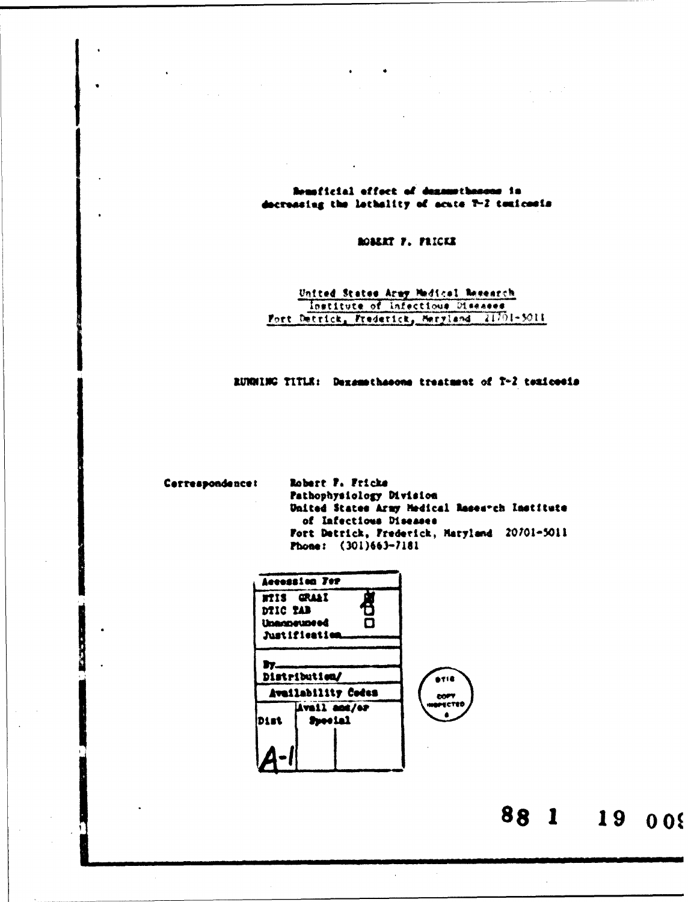Renaficial effect of densewthenous in docreasing the lethality of acute T-2 texicosis

BOBERT F. FRICKE

United States Army Medical Besearch Institute of Infectious Diseases Fort Detrick, Frederick, Herriand 21701-3011

RUNNING TITLE: Dexamethasons treatment of T-2 texicosis

Correspondencet

 $\bullet$ 

Robert F. Fricke Pathophysiology Division United States Army Medical Research Institute of Infectious Diseases Fort Detrick, Frederick, Maryland 20701-5011 Phone: (301)663-7181



88 1 19 008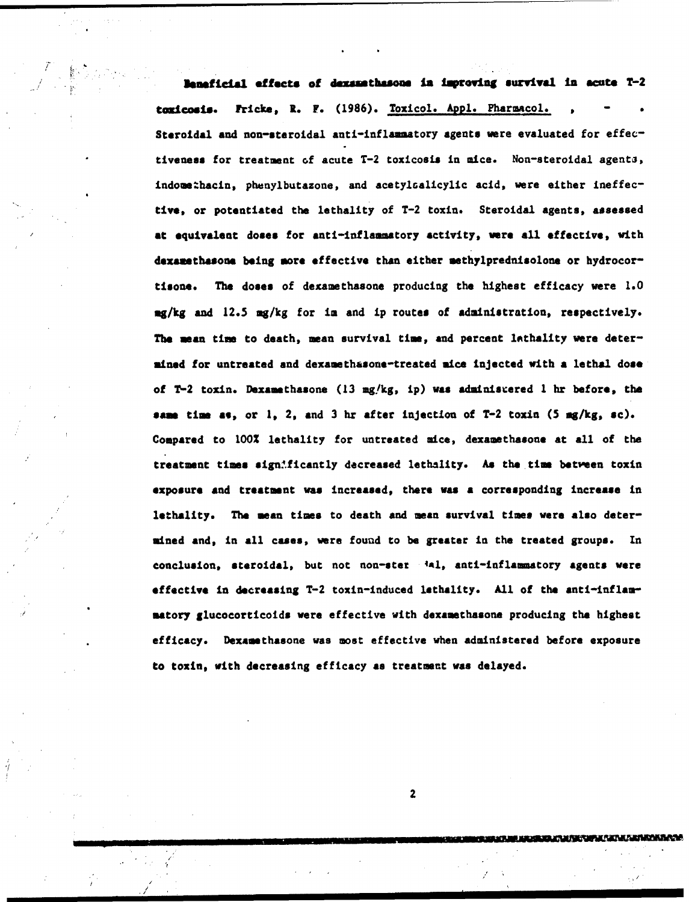Beneficial effects of dexamathasone in Improvig survival in *acute* T-2 toxicosis. Fricke, R. F. (1986). Toxicol. Appl. Pharmacol. Steroidal and non-steroidal anti-inflammatory agents were evaluated for effectiveness for treatment of acute T-2 toxicosis in mice. Non-steroidal agenti, indomethacin, phenylbutazone, and acetylsalicylic acid, were either ineffective, or potentiated the lethality of T-2 toxin. Steroidal agents, assessed at equivalent doses for anti-inflammatory activity, were all effective, with dexamethasone being more effective than either methylprednisolone or hydrocortisone. The doses of dexamethasone producing the highest efficacy were **1.0 mg/kg** and 12.5 mg/kg for im and ip routes of administration, respectively. The mean time to death, mean survival time, and percent lathality were determined for untreated and dexamethasone-treated mice injected with a lethal dose of  $T-2$  toxin. Dexamethasone (13 mg/kg, ip) was adminisrered 1 hr before, the same time **as,** or 1, 2, and 3 hr after injection of T-2 toxin **(5** mg/kg, sc). Compared to **100%** lethality for untreated mice, dexamethasone at all of the treatment times sign: ficantly decreased lethality. As the time between toxin exposure and treatment was increased, there was **a** corresponding increase In lethality. The mean times to death and mean survival times were also determined and, in all cases, were found to be greater in the treated groups. In conclusion, steroidal, but not non-ster 'al, anti-inflammatory agents were effective in decreasing T-2 toxin-induced lethality. All of the anti-inflammatory glucocorticoids were effective with dexamethasone producing the highest efficacy. Dexamethasone was most effective when administered before exposure to toxin, with decreasing efficacy **as** treatment was delayed.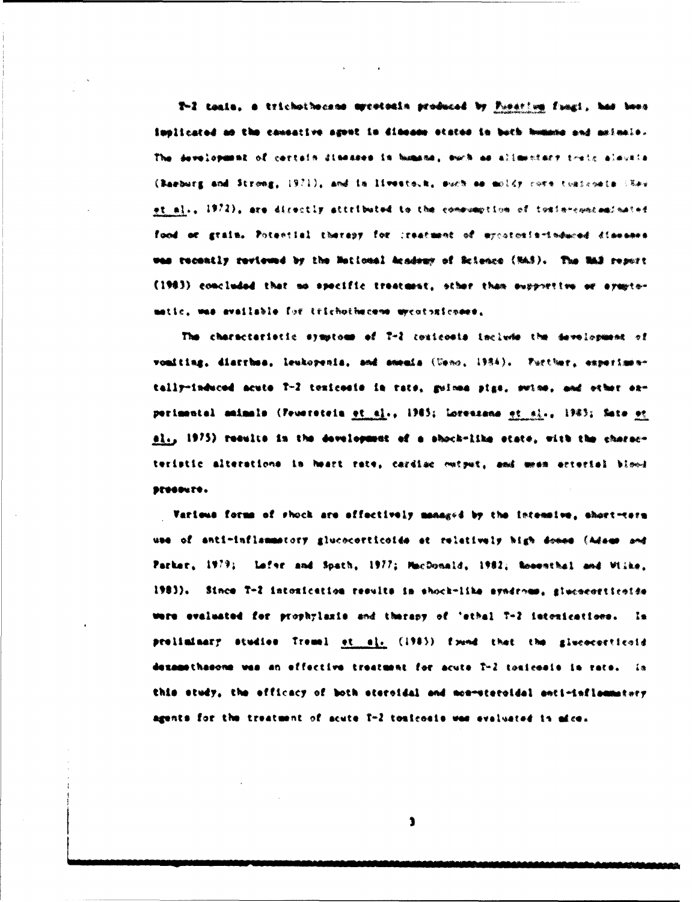T-2 toain, a trichothecane mycotoain produced by Pusarium fungi, had been implicated an the causative agont in dimeans otates in buth humans and asimale. The development of certain dimesses in humans, such as allowatery train alwatte (Raeburg and Strong, 1971), and in livesto.k, such as muldy cove togicosis (Sav et al., 1972), are directly attributed to the comewantion of tosin-concaminated food or grain. Potential therapy for ireatment of mycatoxia-induced diseases was recently reviewed by the Metional Academy of Science (MAS). The NAS report (1983) concluded that no specific treatment, other than supportive or aventomatic, was available for trichothecene wycotoxicoses,

The characteristic symptoms of T-2 conicosis include the devolopment of voniting, diarrhos, leukopenia, and smenia (Usno, 1984). Putther, experimentally-induced acute T-2 texicosis in rate, guinna pigs, swine, and other experimental animals (Peverstein et al., 1985; Lorenzana et al., 1985; Sate et el., 1975) requite in the development of a shock-like state, with the characteristic alterations in heart rate, cardiac metput, and mean arterial blood preseure.

Various forms of shock are affectively managed by the intensive, short-tern use of anti-inflammatory glucocorticoids at relatively high donne (Adams and Parker, 1979; Lefer and Spath, 1977; MacDonald, 1982; Rosenthal and Wilke. 1983). Since T-2 intoxication results in shock-like syndroms, giucocorticoide were evaluated for prophylaxis and tharapy of 'ethal T-2 intenications. In preliminary studies Tremel et si. (1983) frond that the givenessticoid dexamethesone was an effective treatment for acute T-2 tosicosis in rate. In this study, the efficacy of both steroidal and non-steroidal anti-inflammatory agents for the treatment of acute T-2 toulcosis was evaluated in mice.

 $\bullet$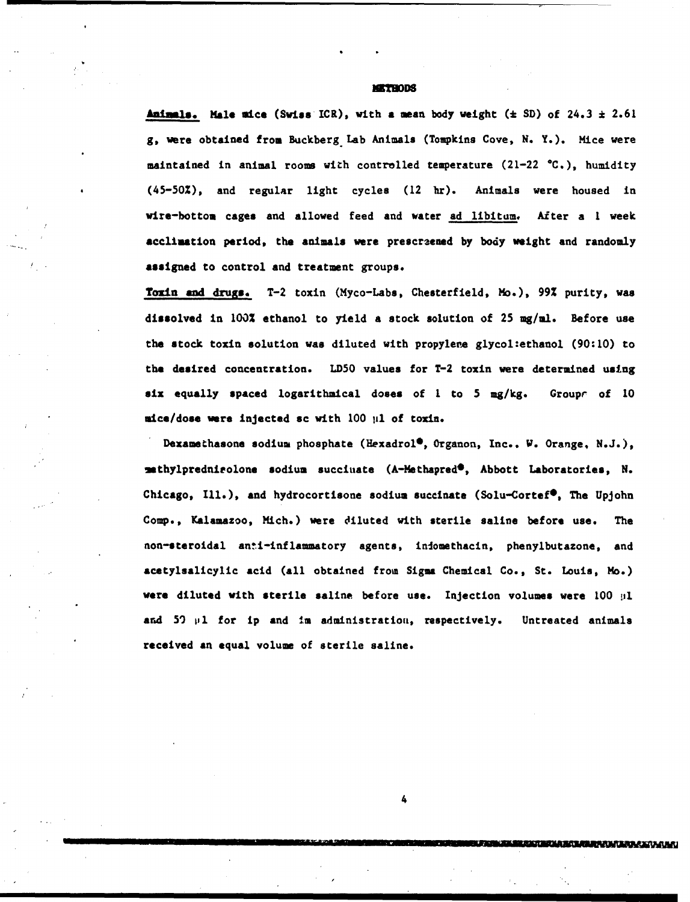#### **HRMODS**

**Animmls.** Male mice (Swiss ICR), with **a** mean body weight (\* SD) of 24.3 **\*** 2.61 g, were obtained from Buckberg Lab Animals (Tompkins Cove, N. Y.). Mice were maintained in animal rooms with controlled temperature (21-22  $°C$ .), humidity (45-50%), and regular light cycles (12 hr). Animals were housed in wire-bottom cages and allowed feed and water ad libitum. After a I week acclimation period, the animals were prescraened by body weight and randomly **assigned** to control and treatment groups.

Toxin and drugs. T-2 toxin (Myco-Labs, Chesterfield, Mo.), 99% purity, was dissolved in 100% ethanol to yield a stock solution of **25 mg/ml.** Before use the stock toxin solution was diluted with propylere glycol:ethanol  $(90:10)$  to the desired concentration. **LD50** values for T-2 toxin were determined using six equally spaced logarithaical doses of I to **5** mg/kg. Groupr of 10 mice/dose were injected sc with 100 µ1 of toxin.

Dexamethasone sodium phosphate (Hexadrol<sup>®</sup>, Organon, Inc.. W. Orange, N.J.), -mthylprednieolone sodium succiuate (A-Methapred\*, Abbott Laboratories, N. Chicago, Ill.), and hydrocortisone sodium succinate (Solu-Cortef<sup>®</sup>, The Upjohn Comp., Kalamazoo, Mich.) were diluted with sterile saline before use. The non-steroidal anti-inflammatory agents, infomethacin, phenylbutazone, and acetylsalicylic acid (all obtained from Sigma Chemical Co., St. Louis, Mo.) **were** diluted with sterile saline, before use. Injection volumes were 100 pl and 59 pl for ip and im administration, respectively. Untreated animals received an equal volume of sterile saline.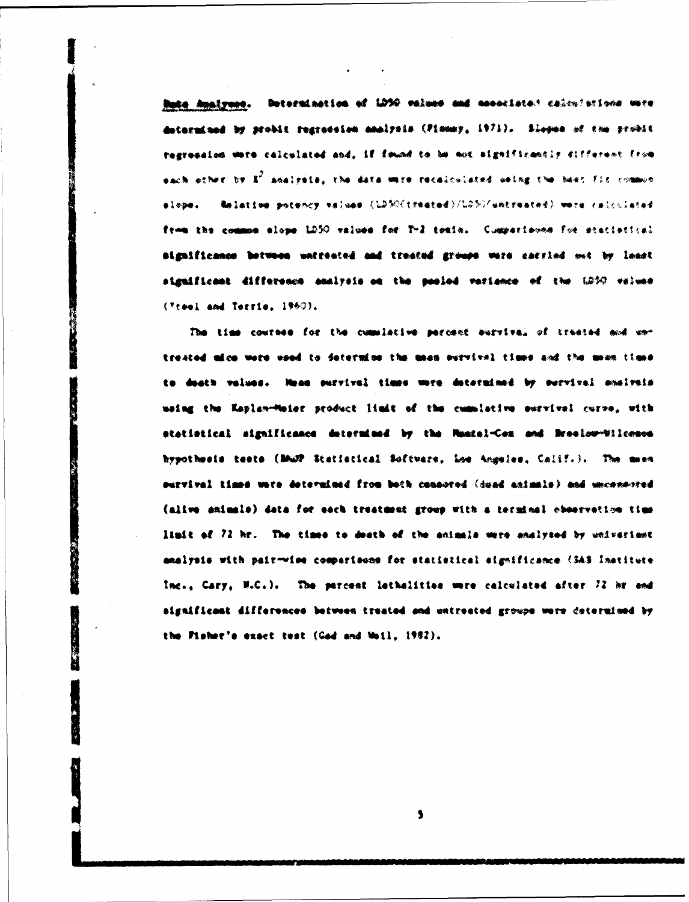Bute Analyses. Determination of LD50 values and mesociated calculations were determined by probli regression analysis (Pinney, 1971). Slopes of the probli regression wore calculated and, if found to be not eigeificantly different from each other by X<sup>2</sup> analysis, the data were recalculated using the best fit common slope. Melative potency values (LD3O(treated)/LD30/untreated) wate calculated from the common slope LD50 values for T-2 toxin. Cumperisons for etatistical aignificance between untreated and treated groups were carried out by least siguificant difference analysis on the posied variance of the LD50 values (Tteel and Terrie, 1960).

The time courses for the cumulative percent survival of treated and ustreated alco were wood to determine the mean ourvival times and the mean times to death values. Neam purvival times were determined by ourvival analysis using the Kaslan-Maier product limit of the cumulative survival curve, with statistical significance determined by the Mantel-Com and Breelow-Wilconsen hypothesis tests (BAUP Statistical Software, Loe Angeles, Calif.). The mean survival times were determined from both cannored (dead animals) and unconnected (alive animals) data for each treatment group with a terminal observation time limit of 72 hr. The times to death of the animals were analyzed by univerient analysis with pair-wise comparisons for statistical significance (SAS Institute) Inc., Cary, M.C.). The percent lethalities were celoulated after 72 hr and aignificant differences between treated and untreated groups were determined by the Fisher's exact test (God and Weil, 1982).

\$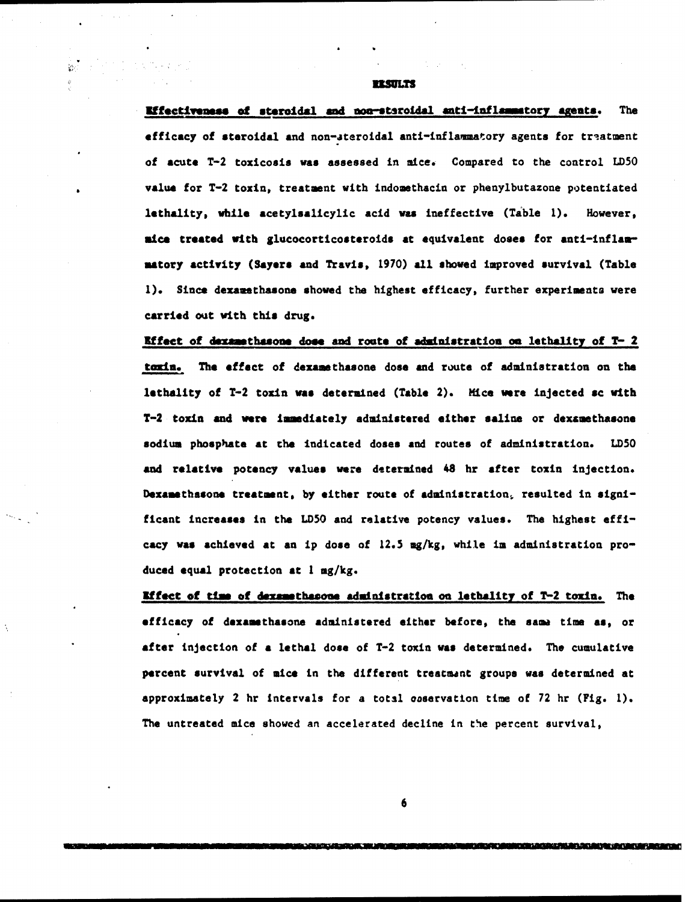**RESULTS** 

ù.

**Effectiveness of steroidal and non-staroidal anti-inflammatory agents.** The efficacy of steroidal and non-steroidal anti-inflammatory agents for traatment of **acute** T-2 toxicosis was assessed in mice. Compared to the control **LD50** value for T-2 toxin, treatment with indomethacin or phenylbutazone potentiated lethality, while acetylsalicylic acid was ineffective (Table **1).** However, mice treated with glucocorticosteroids at equivalent doses for anti-inflammatory activity (Sayers and Travis, 1970) all showed improved survival (Table 1). Since dexamethasone showed the highest efficacy, further experiments were carried out with this drug.

Effect of dexamethasone dose and route of administration on lethality of  $T-2$ toxin. The effect of dexamethasone dose and route of administration on the lethality of T-2 toxin was determined (Table 2). Mice were injected **sc** with T-2 toxin and were immediately administered either saline or dexamethasone sodium phosphate at the indicated doses **and** routes of adninistration. LD5O and relative potency values were determined 48 hr after toxin injection. Dexamethasone treatment, by either route of administration, resulted in significant increases in the LD5O and relative potency values. The highest efficacy was achieved at an ip dose of 12.5 mg/kg, while in administration produced equal protection **at I** mg/kg.

**Mffect** of **tUm** of demzmthasoue administration on lethality of T-2 toxin. The efficacy of dexamethasone administered either before, the sama time **as,** or after injection of **a** lethal dose of T-2 toxin was determined. The cumulative percent survival of mice in the different trestment groups was determined at approximately 2 hr intervals for a total ooservation time of 72 hr (Fig. 1). The untreated mice showed an accelerated decline in the percent survival,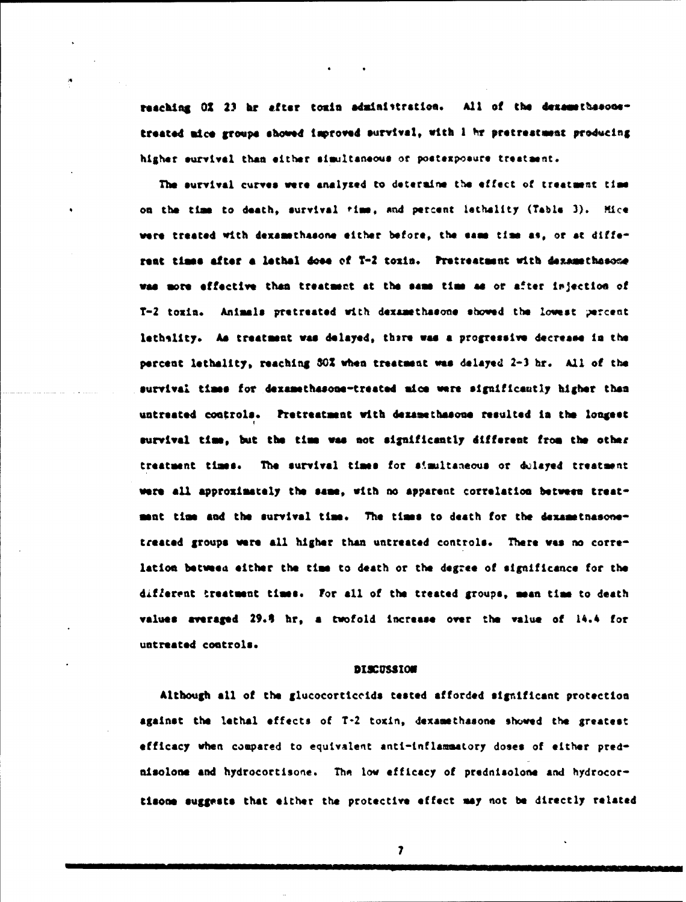reaching 01 23 hr after toxin administration. All of the dexamethasonetreated mice groups **showed** Improved survtval, with **<sup>I</sup>***ýtr* pretreatmnt prowcing higher survival than either simultaneous or postexpoeure treatment.

The survival curves were analyzed to determine the effect of treatment time on the tim to death, survival **rim,** and percent lethality (Table 3). Kice **were** treated with dexemthaeon. either before, the **same** tim **as,** or at differeat times after a lethal doee of T-2 toxin. Pretreatment with dexamethasone was more effective than treatment at the same time as or after injection of T-2 toxin. Animals pretreated with dexamethasone showed the lowest percent lethslity. As treatment was delayed, there was a progressive decrease in the percent lethality, reaching **302** when treatment mee delayed 2-3 hr. All of the survival times for dexamethasone-treated mice were significantly higher than untreated controls. Pretreatment with dexamethasone resulted in the longest survival **tim,** but the tim **wee** not significantly different from the other treatment times. The survival times for simultaneous or dulayed treatment were all approximately the same, with no apparent correlation between treatment time and the survival time. The times to death for the dexametnasonetreated groups were all higher than untreated controls. There **vas** no correlation betweta either the tim to death or the **degree** of significance for the different treatment times. For all of the treated groups, mean time to death values averaged 29.4 hr, a twofold increase over the value of 14.4 for untreated controls.

### **DISCUSSION**

Although all of the glucocorticoida tested afforded significant protection against the lethal effects of T-2 toxin, dexamethasone shoved the greatest efficacy when compared to equivalent anti-inflammatory doses of either prednisolone and hydrocortisone. The low efficacy of prednisolone and hydrocortisoms **suggests** that either the protective effect my not be directly related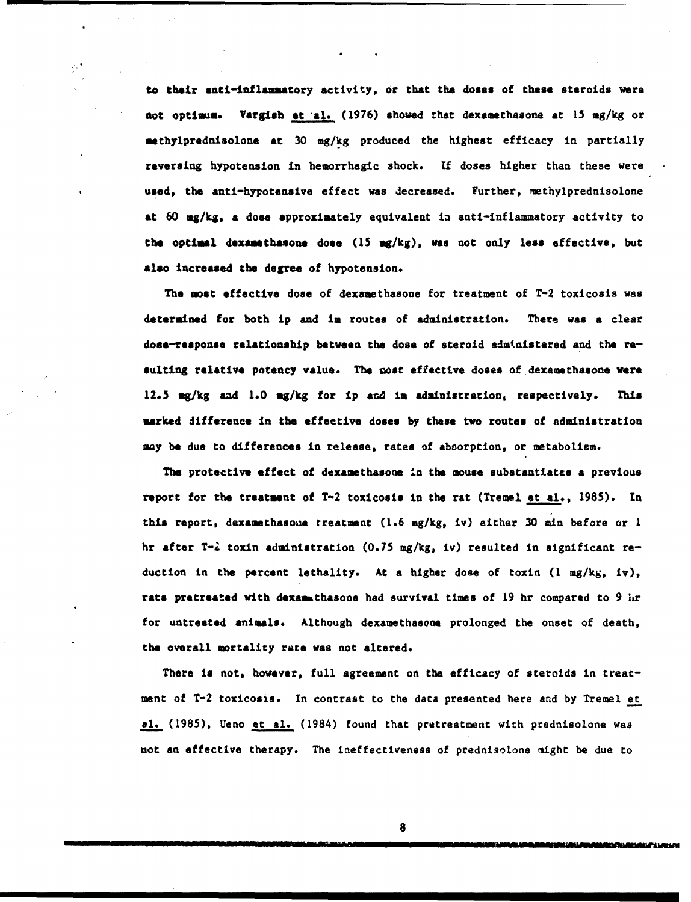to their anti-inflammatory activity, or that the doses of these steroids were not optimum. Vargish **et al.** (1976) shoved that dexamethasone at 15 mg/kg or sethylprednisolone at 30 mg/kg produced the highest efficacy in partially reversing hypotension in hemorrhagic shock. **If** doses higher than these were used, the anti-hypotensive effect was decreased. Further, methylprednisolone at 60 mg/kg, **a** dose approximately equivalent in anti-inflammatory activity to the optimal dexausthasone dose (15 mg/kg), was not only less effective, but also increased the degree of hypotension.

The **most** effective dose of dexamethasone for treatment of T-2 toxicosis was determined for both ip and ia routes of administration. There was a clear dose-response relationship between the dose of steroid administered and the resulting relative potency value. The most effective doses of dexamethasone were 12.5 mg/kg and 1.0 mg/kg for ip and in administration, respectively. This marked difference in the effective doses by these two routes of administration may be due to differences in release, rates of aboorption, or metabolism.

The protective effect of dexamethasone **in** the mouse substantiates a previous report for the treatment of T-2 toxicosis in the rat (Tremel et al., 1985). In this report, dexamethasoae treatment (1.6 mg/kg, iv) either 30 min before or **<sup>I</sup>** hr after T-2 toxin administration (0.75 mg/kg, iv) resulted in significant reduction in the percent lethality. At a higher dose of toxin (1 mg/kg, iv), rats pretreated with dexamethasone had survival times of 19 hr compared to 9 hr for untreated animals. Although dexamethasone prolonged the onset of death, the overall mortality rate was not altered.

There is not, however, full agreement on the efficacy of steroids in treatment of T-2 toxicosis. In contrast to the data presented here and by Tremel et **al.** (1985), Ueno et **al.** (1984) found that pretreatment wich prednisolone was not an effective therapy. The ineffectiveness of prednisolone might be due to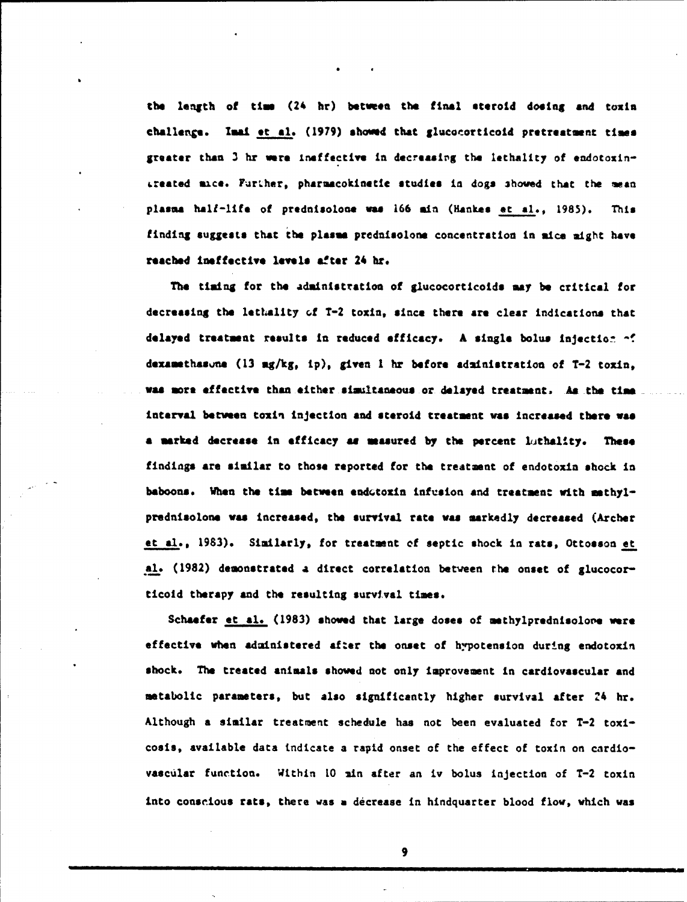the length of *tim* (24 hr) betweea the final steroid dosing **and** toxin challenge. Imai et al. (1979) showed that glucocorticoid pretreatment times greater than 3 hr were ineffective in decreasing the lethality of endotoxin-•rested sacs. Furher, pharaacokinstic studies in dogs 3howed that the **man** plasma half-life of prednisolone was 166 min (Hankes et al., 1985). This finding suggests that the **plasm&** prednisolone concentration in nice might have reached ineffective levels after 24 hr.

The timing for the administration of glucocorticoids **say** be critical for decreasing the lethality **Gf** T-2 toxin, since there are clear indications that **delayed** treatment results in reduced efficacy. A single bolus injection **-f** dexamethasne (13 mg/kg, ip), given 1 hr before administration of T-2 toxin, was more effective than either simultaneous or delayed treatment. As the time interval between toxin injection and steroid treatment was increased there **was a** marked decrease in efficacy **as measured** by the percent lithallty. These findings are similar to those reported for the treatment of endotoxin shock in baboons. When the time between endotoxin infusion and treatment with methylprednisolone was increased, the survival **rate** was sarkedly decreased (Archer et al., 1983). Similarly, for treatment of septic shock in rats, Ottosson et **Al.** (1982) demonstrated a direct correlation betveen the onset of glucocorticold therapy and the resulting survival times.

Schaefer et  $al.$  (1983) showed that large doses of methylprednisolone were effective when administered after the onset of hypotension during endotoxin shock. The treated animals shoved not only improvement in cardiovascular and metabolic parameters, but also significantly higher survival after 24 hr. Although a similar treatment schedule has not been evaluated for T-2 toxicosis, available data indicate a rapid onset of the effect of toxin on cardiovascular function. Within 10 ain after an iv bolus injection of T-2 toxin into conscious rats, there was **a** decrease in hindquarter blood flow, which was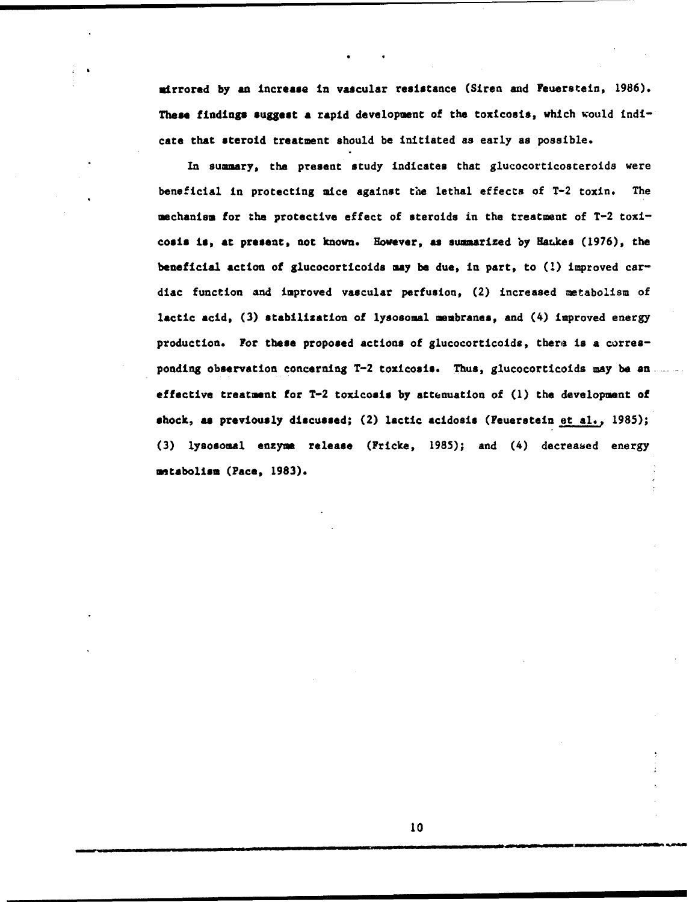mirrored by **an** increase in vascular resistance (Siren and Feuerstein, 1986). **These findings suggest a rapid development of the toxicosis, which would indi**cate that steroid treatment should be initiated as early as possible.

In summary, the present study indicates that glucocorticosteroids were beneficial in protecting mice against the lethal effects of T-2 toxin. The mechanism for the protective effect of steroids in the treatment of T-2 toxi**cosis** is, at present, not known. Ho•ever, **as** summarized by Hatks (1976), the beneficial action of glucocorticoids **may** be due, in part, to (1) improved cardiac function and improved vascular perfusion, (2) increased metabolism of lactic acid, (3) stabilization of lysosomal membranes, and (4) improved energy production. For these proposed actions of glucocorticoids, there is a corresponding observation concerning T-2 toxicosis. Thus, glucocorticoids may **be** aneffective treatment for T-2 toxicosis by attenuation of (1) the development of shock, as previously discussed; (2) lactic acidosis (Feuerstein et al., 1985); (3) lysosomal enzyme release (Fricke, 1985); and (4) decreased energy metabolism (Pace, **1983).**

Il lli l H I~llIl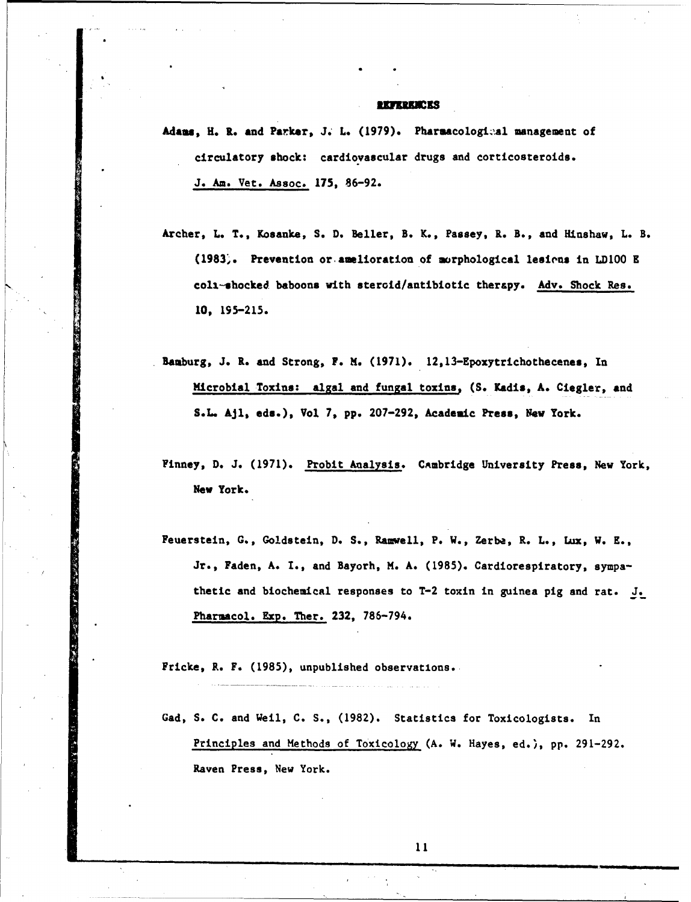#### **REPERENCES**

Adams, H. R. and Parker, J. L. (1979). Pharmacological management of circulatory shock: cardiovascular drugs and corticosteroids. J. Am. Vet. Assoc. 175, 86-92.

- Archer, L. T., Kosanke, S. D. Beller, B. K., Passey, R. B., and Hinshaw, L. B. (1983". Prevention or amelioration of morphological lesions in LDIOO **E** colt-shocked baboons with steroid/antibiotic therapy. Adv. Shock Res. **10,** 195-215.
- Bamburg, J. R. and Strong, F. **M.** (1971). 12,13-Epoxytrichothecenes, In Microbial Toxins: algal and fungal toxins, (S. Kadis, A. Ciegler, and S.L. Ajl, eds.), Vol 7, pp. 207-292, Academic Press, Now York.
- Finney, D. J. (1971). Probit Analysis. CAmbridge University Press, New York, **New** York.
- Feuerstein, **G.,** Goldstein, D. S., Rauvell, P. W., Zerba, R. L., Lux, W. **E.,** Jr., Faden, **A.** I., and Bayorh, H. A. (1985). Cardiorespiratory, sympathetic and biochemical responses to T-2 toxin in guinea pig and rat. J. Pharmacol. **Exp.** Ther. 232, 786-794.

Fricke, R. F. (1985), unpublished observations.

Gad, S. C. and Weil, C. S., (1982). Statistics for Toxicologists. In Principles and Methods of Toxicology (A. W. Hayes, ed.), pp. 291-292. Raven Press, New York.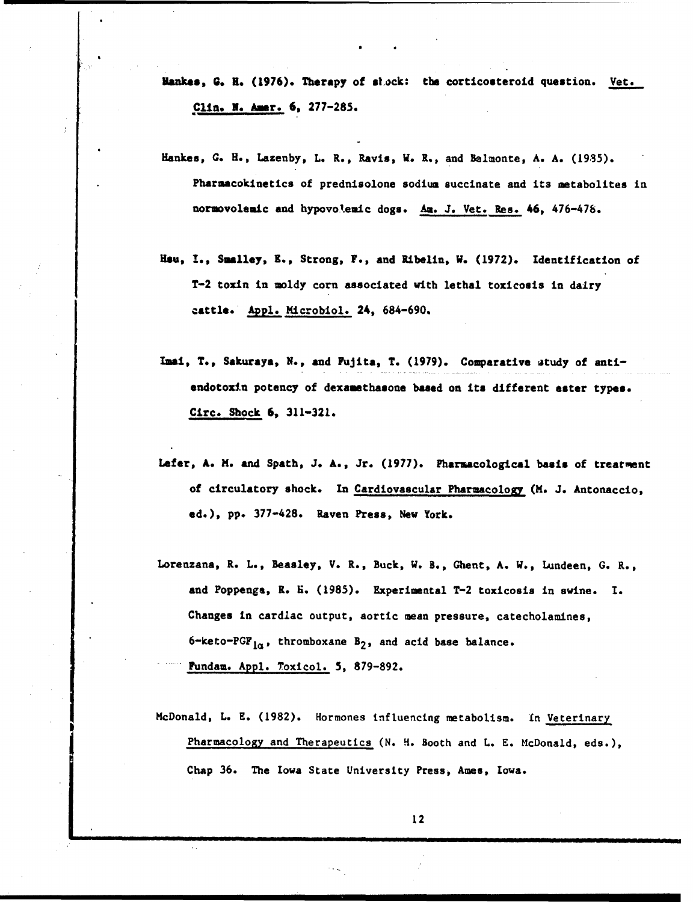- **Yankes, G. B.** (1976). Therapy of stack: the corticosteroid question. Vet. Clin. N. Amer. 6, 277-285.
- Hankes, G. H., Lazenby, L. R., Ravis, W. R., and Belmonte, A. A. (1935). Pharmacokinetics of prednisolone sodium succinate and its metabolites in normovolemic and hypovolemic dogs. *Am.* J. Vet. Res. 46, 476-47b.
- Hsu, **1.,** Smalley, **R.,** Strong, F., and Ribelin, **W.** (1972). Identification of T-2 toxin in moldy corn associated with lethal toxicosis in dairy cattle. **Apple** Microbiol. 24, 684-690.
- Imai, T., Sakuraya, N., and Fujita, T. (1979). Comparative atudy of antiendotoxin potency of dexamethasone based on its different eater types. Circ. Shock 6, 311-321.
- Lefer, **A.** H. and Spath, J. A., Jr. (1977). Pharmacological basis of treatment of circulatory shock. In Cardiovascular Pharmacology (M. J. Antonaccio, ed.), pp. 377-428. Raven Press, New York.
- Lorenzana, R. L., Beasley, V. R., Buck, W. B., Ghent, A. W., Lundeen, G. R., and Poppenga, R. f. (1985). Experimental T-2 toxicosis in swine. I. Changes in cardiac output, aortic mean pressure, catecholamines, 6-keto-PGF<sub>1a</sub>, thromboxane B<sub>2</sub>, and acid base balance. Fundam. Appl. Toxicol. 5, 879-892.
- McDonald, L. E. (1982). Hormones influencing metabolism. In Veterinary Pharmacology and Therapeutics (N. H. Booth and L. E. McDonald, eds.), Chap 36. The Iowa State University Press, Ames, Iowa.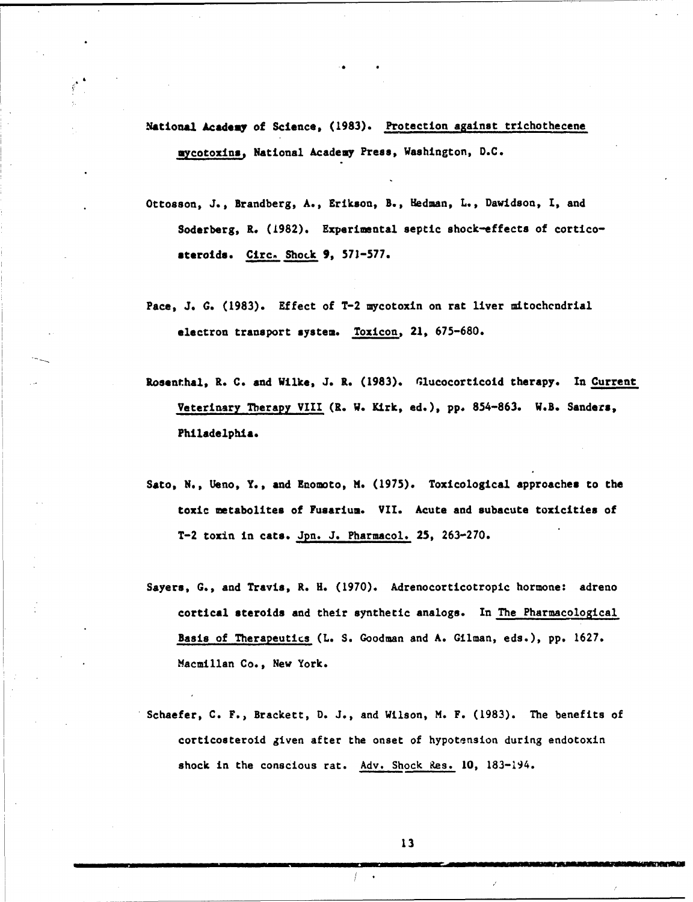National Academy of Science, (1983). Protection against trichothecene mycotoxins, National Academy Press, Washington, D.C.

- Ottosson, J., Brandberg, A., Erikson, B., Hedman, L., Davidson, I, and Soderberg, R. (1982). Experimental septic shock-effects of corticosteroids. Cire. Shock 9, 571-577.
- Pace, J. **G.** (1983). Effect of T-2 mycotoxin on rat liver mitochcndrial electron transport system. Toxicon, 21, 675-680.
- Rosenthal, R. C. and Wilke, J. R. (1983). Glucocorticoid therapy. In Current Veterinary Therapy VIII (R. W. Kirk, ed.), pp. 854-863. W.B. Sanders, Philadelphia.
- Sato, N., Ueno, Y., and Enomoto, M. (1975). Toxicological approaches to the toxic metabolites of Fusarium. VII. Acute and subacute toxicities of T-2 toxin in cats. Jpn. J. Pharmacol. 25, 263-270.
- Sayers, **G.,** and Travis, R. H. (1970). Adrenocorticotropic hormone: adreno cortical steroids and their synthetic analogs. In The Pharmacological Basis of Therapeutics (L. S. Goodman and A. Gilman, eds.), pp. 1627. Macmillan Co., New York.
- Schaefer, C. F., Brackett, D. J., and Wilson, M. F. (1983). The benefits of corticosteroid given after the onset of hypotension during endotoxin shock in the conscious rat. Adv. Shock Res. **10,** 183-194.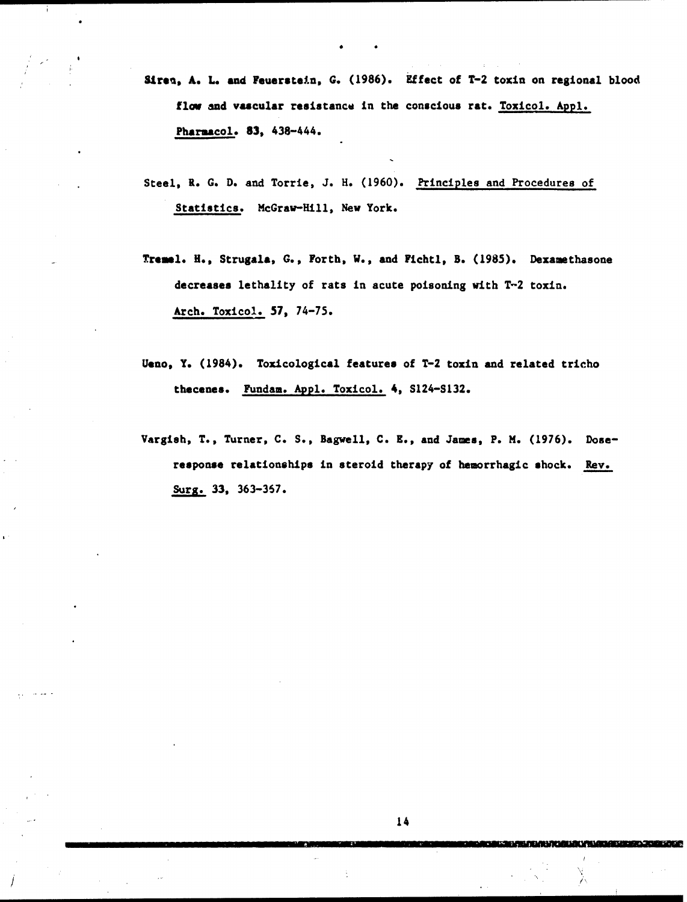- Siren, A. L. and Feuerstein, G. (1986). Effect of T-2 toxin on regional blood flow and vascular resistance in the conscious rat. Toxicol. Appl. Pharnacol. **83,** 438-444.
- Steel, R. G. D. and Torrie, J. H. (1960). Principles and Procedures of Statistics. McGraw-Hill, New York.
- Trenol. **H.,** Strugala, **G.,** Forth, W., and Fichtl, B. (1985). Dexamethasone decreases lethality of rats in acute poisoning with T-2 toxin. Arch. Toxicol. **57,** 74-75.
- Ueno, Y. (1984). Toxicological features of T-2 toxin and related tricho thecenes. Fundam. Appl. Toxicol. 4, S124-S132.
- Vargish, T., Turner, C. S., Bagwell, C. **E.,** and James, P. M. (1976). Doseresponse relationships in steroid therapy of hemorrhagic shock. Rev. Surg. 33, 363-367.

In the set of the set of the set of the set of the set of the set of the set of the set of the set of the set o

アビンバル したからがく こだいしきにく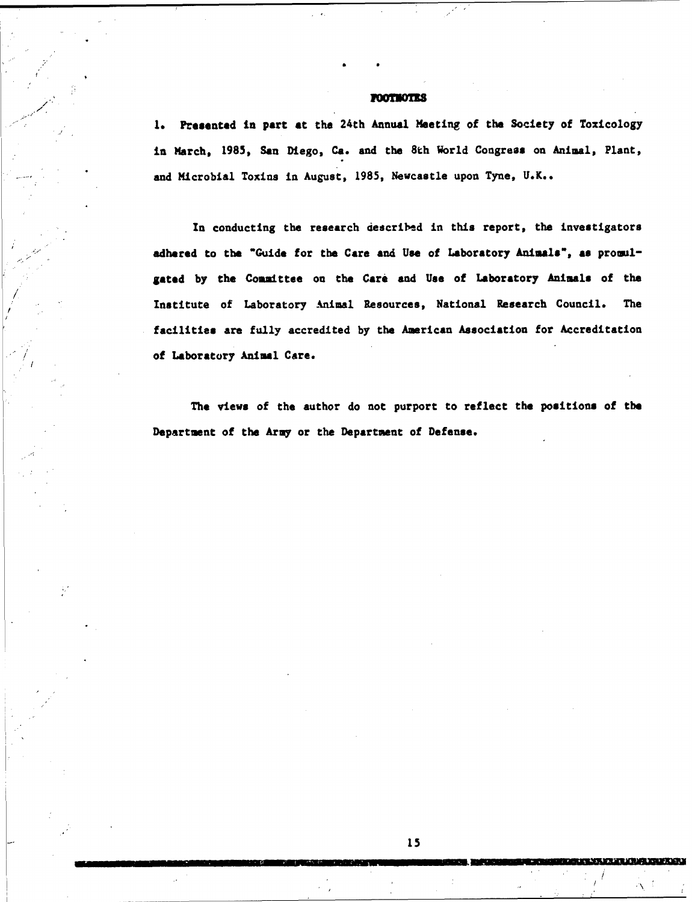# **POOTHOTES**

/

**1.** Presented in part at the 24th Annual Meeting of the Society of Toxicology in March, 1985, San Diego, Ca. and the 8th World Congress on Animal, Plant, and Microbial Toxins in August, 1985, Newcastle upon Tyne, **U.K..**

In conducting the research described in this report, the investigators "adhered to the "Guide for the Care and Use of Laboratory Animals", **as** promulgated by the Committee on the Care and **Use** of Laboratory Animals of the Institute of Laboratory Animal Resources, National Research Council. The facilities are fully accredited by the American Association for Accreditation of Laboratory Animal Care.

The views of the author do not purport to reflect the positions of the Department of the Arny or the Department of Defense.

**NSK MENSEN MENSEN SERVICE STATE**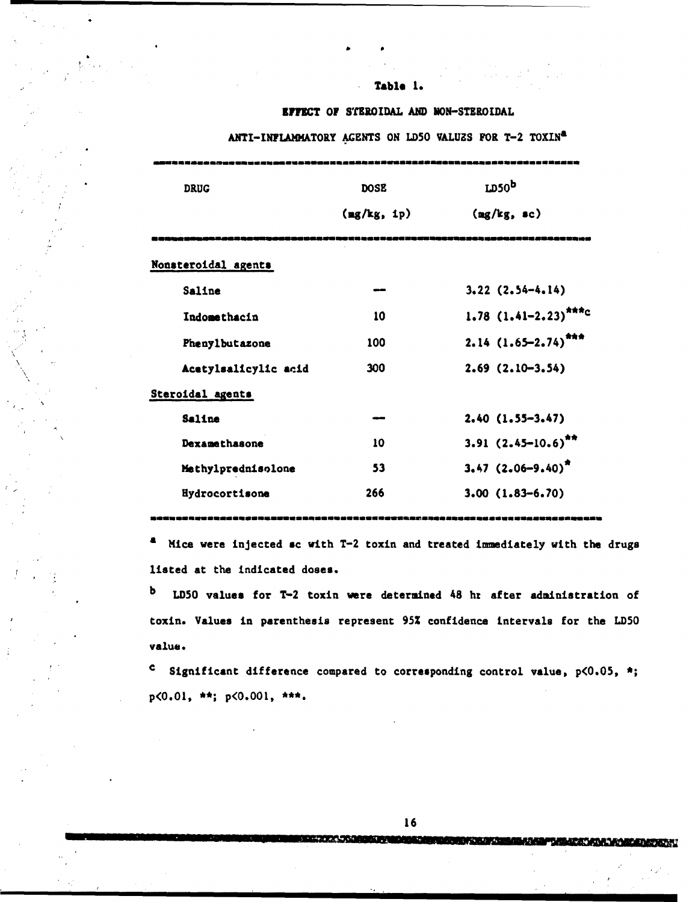# **Table 1.**

b p

# **EFFECT OF STEROIDAL AND MON-STEROIDAL**

ANTI-INFLAMMATORY AGENTS ON LD50 VALUZS FOR T-2 TOXIN<sup>a</sup>

| <b>DRUG</b>          | <b>DOSE</b>           | LD50 <sup>b</sup>            |
|----------------------|-----------------------|------------------------------|
|                      | $\frac{mg}{kg}$ , ip) | $(\frac{mg}{kg}, sc)$        |
| Nonsteroidal agents  |                       |                              |
| Saline               |                       | $3.22$ $(2.54-4.14)$         |
| Indomethacin         | 10                    | 1.78 $(1.41-2.23)$ ***c      |
| Phenylbutazone       | 100                   | $2.14$ $(1.65 - 2.74)^{444}$ |
| Acetylsalicylic acid | 300                   | $2.69$ $(2.10-3.54)$         |
| Steroidal agents     |                       |                              |
| Saline               | سم                    | $2.40(1.55-3.47)$            |
| Dexamethasone        | 10                    | $3.91 (2.45 - 10.6)^{4*}$    |
| Methylprednisolone   | 53                    | $3.47 (2.06 - 9.40)^{2}$     |
| Hydrocortisone       | 266                   | $3.00(1.83 - 6.70)$          |
|                      |                       |                              |

a Mice were injected sc with T-2 toxin and treated immediately with the drugs listed at the indicated doses.

b LD5O values for T-2 toxin were determined 48 hr after administration of toxin. Values in parenthesis represent **95%** confidence intervals for the LDSO value.

**<sup>C</sup>**Significant difference compared to corresponding control value, p<O.05, **\*;** p<O.Ol, **\*\*;** p<O.O01,

16

**A PARAMARAN MATEMATAN NYA TANA ARA-DAHARAN AT AT**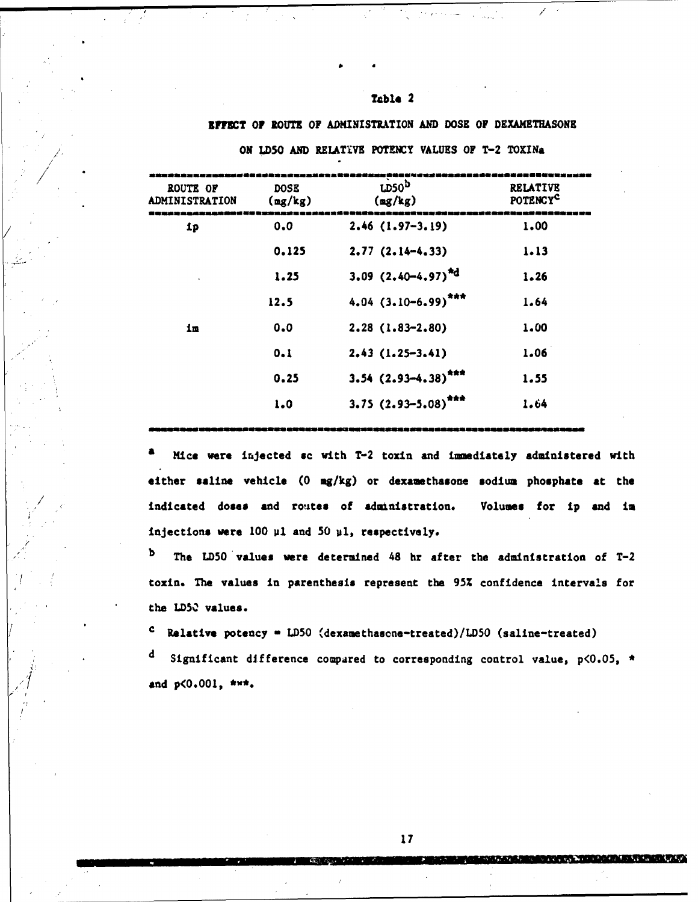# Table 2

### EFFET OF ROUTE OF ADMINISTRATION AND DOSE OF DEXAMETHASONE

| ROUTE OF<br><b>ADMINISTRATION</b> | <b>DOSE</b><br>$(\frac{mg}{kg})$ | LDS0 <sup>b</sup><br>$\frac{mg}{kg}$ | <b>RELATIVE</b><br>POTENCYC |
|-----------------------------------|----------------------------------|--------------------------------------|-----------------------------|
| ip                                | 0.0                              | $2.46(1.97-3.19)$                    | 1.00                        |
|                                   | 0.125                            | $2.77(2.14-4.33)$                    | 1.13                        |
|                                   | 1.25                             | 3.09 $(2.40-4.97)^{4}$               | 1.26                        |
|                                   | 12.5                             | $4.04$ $(3.10-6.99)^{***}$           | 1.64                        |
| im                                | 0.0                              | $2.28(1.83 - 2.80)$                  | 1.00                        |
|                                   | 0.1                              | $2.43(1.25-3.41)$                    | 1.06                        |
|                                   | 0.25                             | $3.54$ $(2.93 - 4.38)^{***}$         | 1.55                        |
|                                   | 1.0                              | $3.75(2.93 - 5.08)^{***}$            | 1.64                        |
|                                   |                                  |                                      |                             |

ON LD5O AND RELATIVE POTENCY VALUES OF T-2 TOXINa

Mice were injected sc with T-2 toxin and immediately administered with either saline vehicle (0 mg/kg) or dexamethasone sodium phosphate at the indicated doses and routes of administration. Volumes for ip and im injections were 100 µ1 and 50 µ1, respectively.

b The LD50 values were determined 48 hr after the administration of T-2 toxin. The values in parenthesis represent the 95Z confidence intervals for the **LD50** values.

**<sup>C</sup><sup>c</sup>**Relative potency **-** LD5O (dexamethascne-treated)/LD50 (saline-treated)

Significant difference compared to corresponding control value,  $p$ <0.05, \* *.'* **and p<0.001, \*-\*.**

*<u>STAR COMPANY</u>* 

MARKARA YANKIN DA BILIRI KUTA DA FILIYA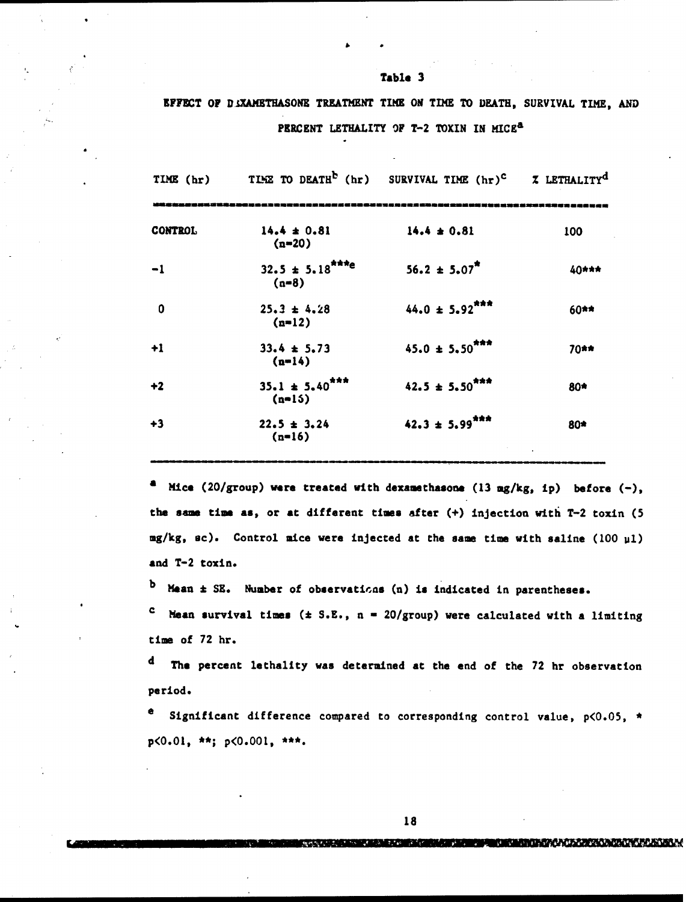|  | EFFECT OF DIXAMETHASONE TREATMENT TIME ON TIME TO DEATH, SURVIVAL TIME, AND |                                                     |  |  |  |  |
|--|-----------------------------------------------------------------------------|-----------------------------------------------------|--|--|--|--|
|  |                                                                             | PERCENT LETHALITY OF T-2 TOXIN IN MICE <sup>8</sup> |  |  |  |  |

Table 3

| TIME $(hr)$             | TIME TO DEATH <sup>b</sup> (hr) SURVIVAL TIME (hr) <sup>c</sup> % LETHALITY <sup>d</sup> |                                |       |
|-------------------------|------------------------------------------------------------------------------------------|--------------------------------|-------|
| <b>CONTROL</b>          | $14.4 \pm 0.81$<br>$(n=20)$                                                              | $14.4 \pm 0.81$                | 100   |
| $-1$                    | $32.5 \pm 5.18$ <sup>***e</sup><br>$(n=8)$                                               | $56.2 \pm 5.07$ <sup>*</sup>   | 40*** |
| $\overline{\mathbf{0}}$ | $25.3 \pm 4.28$<br>$(n=12)$                                                              | $44.0 \pm 5.92$ <sup>***</sup> | 60**  |
| $+1$                    | $33.4 \pm 5.73$<br>$(n=14)$                                                              | $45.0 \pm 5.50$ <sup>***</sup> | 70**  |
| $+2$                    | $35.1 \pm 5.40$ <sup>***</sup><br>$(n=15)$                                               | $42.5 \pm 5.50$ <sup>***</sup> | 80*   |
| +3                      | $22.5 \pm 3.24$<br>$(n=16)$                                                              | $42.3 \pm 5.99$ <sup>***</sup> | 80*   |

a Mice (20/group) were treated with dexamethasone (13 mg/kg, **ip)** before (-), the same time as, or at different times after (+) injection with T-2 toxin (5 mg/kg, ec). Control mice were injected at the same time with saline (100 **u1)** and T-2 toxin.

b Mean  $\pm$  SE. Number of observations (n) is indicated in parentheses.

C Mean survival times **(\*** S.E., n **-** 20/group) were calculated with a limiting time of 72 hr.

d The percent lethality was determined at the end of the 72 hr observation period.

e Significant difference compared to corresponding control value, p<O.05, \* p<O.Ol, \*\*; **p<O.01,**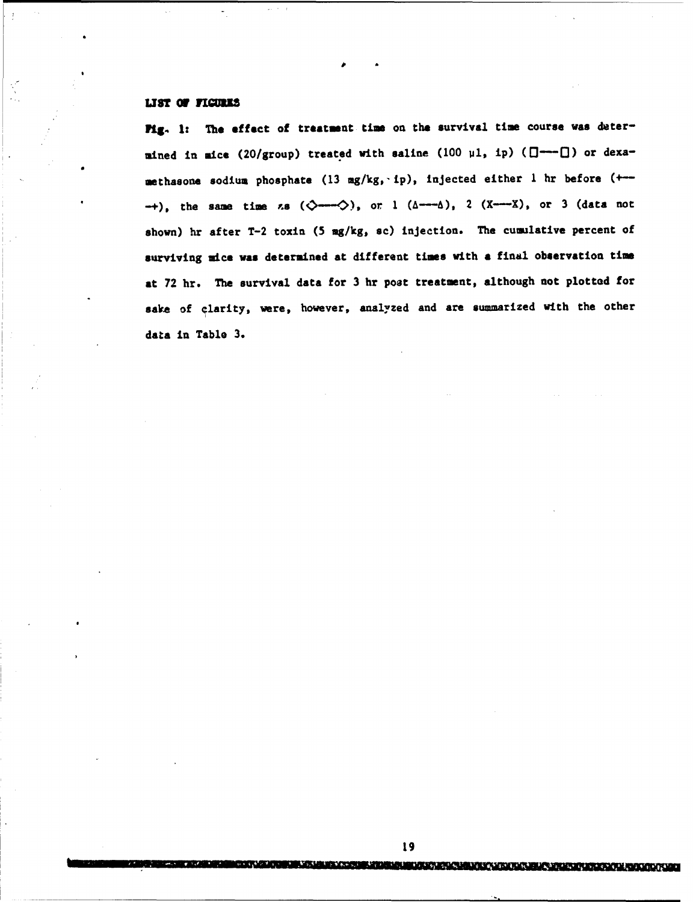# LIST OF FIGURES

**Pig.** 1: The effect of treatment time on the survival time course was determined in mice (20/group) treated with saline (100  $\mu$ 1, ip)  $(\Box \rightarrow \Box)$  or dexamethasone sodium phosphate (13 mg/kg, ip), injected either 1 hr before (+-- $-+$ ), the same time  $\kappa$ s ( $\Diamond$ --- $\Diamond$ ), or 1 ( $\Diamond$ --- $\Diamond$ ), 2 (X---X), or 3 (data not shown) hr after T-2 toxin (5 mg/kg, sc) injection. The cumulative percent of surviving nice was determined at different times with **<sup>a</sup>**final observation time at 72 hr. The survival data for 3 hr post treatment, although not plotted for sake of clarity, were, however, analyzed and are summarized with the other data in Table 3.

**MANUFACTURER AND LOCATION**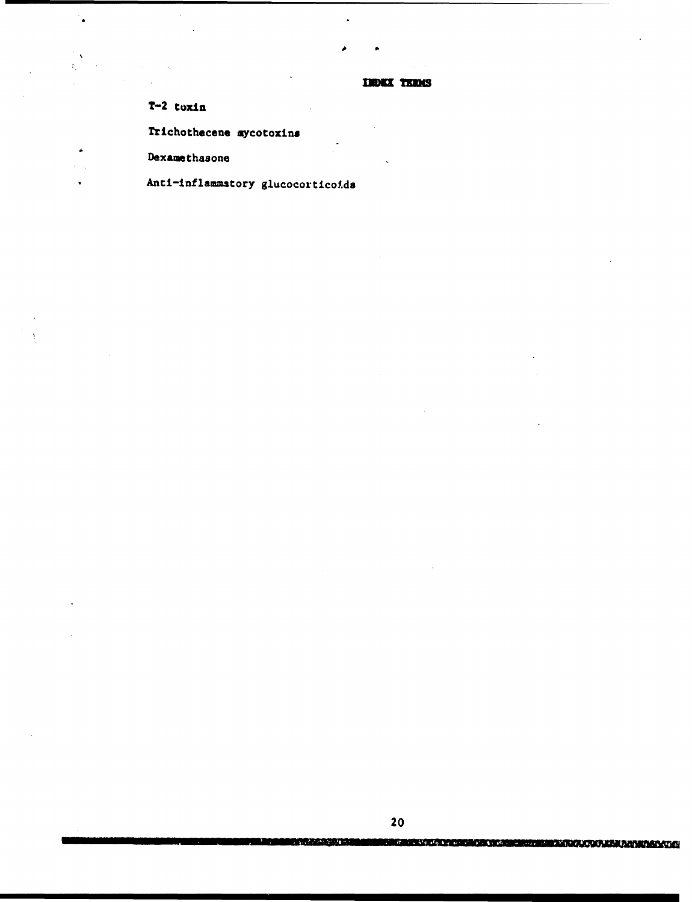**INDEX TERMS** 

 $T-2$  toxin

 $\overline{a}$ 

Trichothecene mycotoxins

Dexamethasone

Anti-inflammatory glucocorticoids

بريدهم

**angalagayan** 

RERGINISTICA CARDIORES ELIBERTINISTICA ANGLICA ALIMANIA SATIST